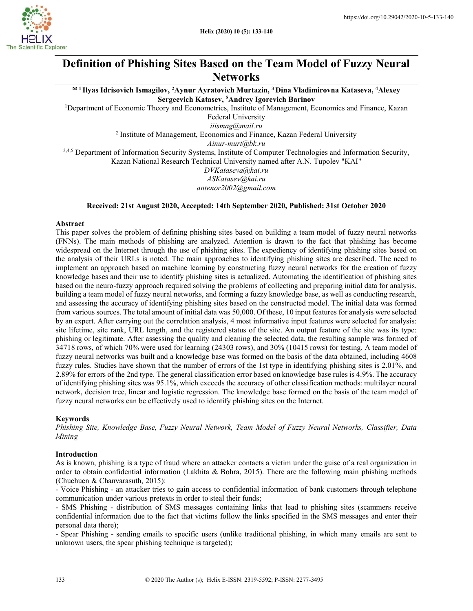

# Definition of Phishing Sites Based on the Team Model of Fuzzy Neural **Networks**

 $^{\boxtimes 1}$ Ilyas Idrisovich Ismagilov, <sup>2</sup>Aynur Ayratovich Murtazin, <sup>3</sup> Dina Vladimirovna Kataseva, <sup>4</sup>Alexev Sergeevich Katasev, <sup>5</sup>Andrey Igorevich Barinov

<sup>1</sup>Department of Economic Theory and Econometrics, Institute of Management, Economics and Finance, Kazan

Federal University

iiismag@mail.ru <sup>2</sup> Institute of Management, Economics and Finance, Kazan Federal University

Ainur-murt@bk.ru

3,4,5 Department of Information Security Systems, Institute of Computer Technologies and Information Security, Kazan National Research Technical University named after A.N. Tupolev "KAI"

DVKataseva@kai.ru ASKatasev@kai.ru antenor2002@gmail.com

## Received: 21st August 2020, Accepted: 14th September 2020, Published: 31st October 2020

#### Abstract

This paper solves the problem of defining phishing sites based on building a team model of fuzzy neural networks (FNNs). The main methods of phishing are analyzed. Attention is drawn to the fact that phishing has become widespread on the Internet through the use of phishing sites. The expediency of identifying phishing sites based on the analysis of their URLs is noted. The main approaches to identifying phishing sites are described. The need to implement an approach based on machine learning by constructing fuzzy neural networks for the creation of fuzzy knowledge bases and their use to identify phishing sites is actualized. Automating the identification of phishing sites based on the neuro-fuzzy approach required solving the problems of collecting and preparing initial data for analysis, building a team model of fuzzy neural networks, and forming a fuzzy knowledge base, as well as conducting research, and assessing the accuracy of identifying phishing sites based on the constructed model. The initial data was formed from various sources. The total amount of initial data was 50,000. Of these, 10 input features for analysis were selected by an expert. After carrying out the correlation analysis, 4 most informative input features were selected for analysis: site lifetime, site rank, URL length, and the registered status of the site. An output feature of the site was its type: phishing or legitimate. After assessing the quality and cleaning the selected data, the resulting sample was formed of 34718 rows, of which 70% were used for learning (24303 rows), and 30% (10415 rows) for testing. A team model of fuzzy neural networks was built and a knowledge base was formed on the basis of the data obtained, including 4608 fuzzy rules. Studies have shown that the number of errors of the 1st type in identifying phishing sites is 2.01%, and 2.89% for errors of the 2nd type. The general classification error based on knowledge base rules is 4.9%. The accuracy of identifying phishing sites was 95.1%, which exceeds the accuracy of other classification methods: multilayer neural network, decision tree, linear and logistic regression. The knowledge base formed on the basis of the team model of fuzzy neural networks can be effectively used to identify phishing sites on the Internet.

## Keywords

Phishing Site, Knowledge Base, Fuzzy Neural Network, Team Model of Fuzzy Neural Networks, Classifier, Data Mining

## Introduction

As is known, phishing is a type of fraud where an attacker contacts a victim under the guise of a real organization in order to obtain confidential information (Lakhita & Bohra, 2015). There are the following main phishing methods (Chuchuen & Chanvarasuth, 2015):

- Voice Phishing - an attacker tries to gain access to confidential information of bank customers through telephone communication under various pretexts in order to steal their funds;

- SMS Phishing - distribution of SMS messages containing links that lead to phishing sites (scammers receive confidential information due to the fact that victims follow the links specified in the SMS messages and enter their personal data there);

- Spear Phishing - sending emails to specific users (unlike traditional phishing, in which many emails are sent to unknown users, the spear phishing technique is targeted);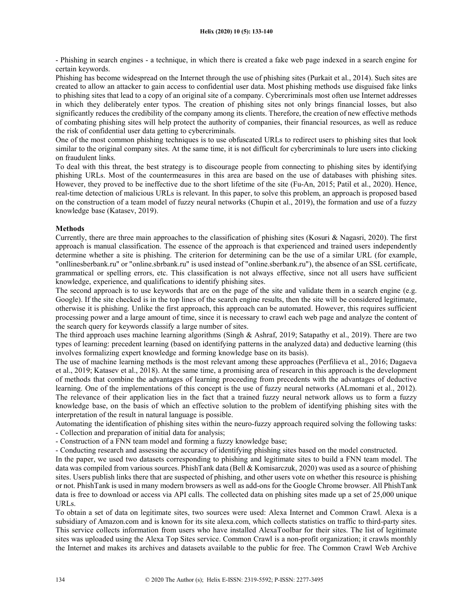- Phishing in search engines - a technique, in which there is created a fake web page indexed in a search engine for certain keywords.

Phishing has become widespread on the Internet through the use of phishing sites (Purkait et al., 2014). Such sites are created to allow an attacker to gain access to confidential user data. Most phishing methods use disguised fake links to phishing sites that lead to a copy of an original site of a company. Cybercriminals most often use Internet addresses in which they deliberately enter typos. The creation of phishing sites not only brings financial losses, but also significantly reduces the credibility of the company among its clients. Therefore, the creation of new effective methods of combating phishing sites will help protect the authority of companies, their financial resources, as well as reduce the risk of confidential user data getting to cybercriminals.

One of the most common phishing techniques is to use obfuscated URLs to redirect users to phishing sites that look similar to the original company sites. At the same time, it is not difficult for cybercriminals to lure users into clicking on fraudulent links.

To deal with this threat, the best strategy is to discourage people from connecting to phishing sites by identifying phishing URLs. Most of the countermeasures in this area are based on the use of databases with phishing sites. However, they proved to be ineffective due to the short lifetime of the site (Fu-An, 2015; Patil et al., 2020). Hence, real-time detection of malicious URLs is relevant. In this paper, to solve this problem, an approach is proposed based on the construction of a team model of fuzzy neural networks (Chupin et al., 2019), the formation and use of a fuzzy knowledge base (Katasev, 2019).

#### Methods

Currently, there are three main approaches to the classification of phishing sites (Kosuri & Nagasri, 2020). The first approach is manual classification. The essence of the approach is that experienced and trained users independently determine whether a site is phishing. The criterion for determining can be the use of a similar URL (for example, "onllinesberbank.ru" or "online.sbrbank.ru" is used instead of "online.sberbank.ru"), the absence of an SSL certificate, grammatical or spelling errors, etc. This classification is not always effective, since not all users have sufficient knowledge, experience, and qualifications to identify phishing sites.

The second approach is to use keywords that are on the page of the site and validate them in a search engine (e.g. Google). If the site checked is in the top lines of the search engine results, then the site will be considered legitimate, otherwise it is phishing. Unlike the first approach, this approach can be automated. However, this requires sufficient processing power and a large amount of time, since it is necessary to crawl each web page and analyze the content of the search query for keywords classify a large number of sites.

The third approach uses machine learning algorithms (Singh & Ashraf, 2019; Satapathy et al., 2019). There are two types of learning: precedent learning (based on identifying patterns in the analyzed data) and deductive learning (this involves formalizing expert knowledge and forming knowledge base on its basis).

The use of machine learning methods is the most relevant among these approaches (Perfilieva et al., 2016; Dagaeva et al., 2019; Katasev et al., 2018). At the same time, a promising area of research in this approach is the development of methods that combine the advantages of learning proceeding from precedents with the advantages of deductive learning. One of the implementations of this concept is the use of fuzzy neural networks (ALmomani et al., 2012). The relevance of their application lies in the fact that a trained fuzzy neural network allows us to form a fuzzy knowledge base, on the basis of which an effective solution to the problem of identifying phishing sites with the interpretation of the result in natural language is possible.

Automating the identification of phishing sites within the neuro-fuzzy approach required solving the following tasks: - Collection and preparation of initial data for analysis;

- Construction of a FNN team model and forming a fuzzy knowledge base;

- Conducting research and assessing the accuracy of identifying phishing sites based on the model constructed.

In the paper, we used two datasets corresponding to phishing and legitimate sites to build a FNN team model. The data was compiled from various sources. PhishTank data (Bell & Komisarczuk, 2020) was used as a source of phishing sites. Users publish links there that are suspected of phishing, and other users vote on whether this resource is phishing or not. PhishTank is used in many modern browsers as well as add-ons for the Google Chrome browser. All PhishTank data is free to download or access via API calls. The collected data on phishing sites made up a set of 25,000 unique URLs.

To obtain a set of data on legitimate sites, two sources were used: Alexa Internet and Common Crawl. Alexa is a subsidiary of Amazon.com and is known for its site alexa.com, which collects statistics on traffic to third-party sites. This service collects information from users who have installed AlexaToolbar for their sites. The list of legitimate sites was uploaded using the Alexa Top Sites service. Common Crawl is a non-profit organization; it crawls monthly the Internet and makes its archives and datasets available to the public for free. The Common Crawl Web Archive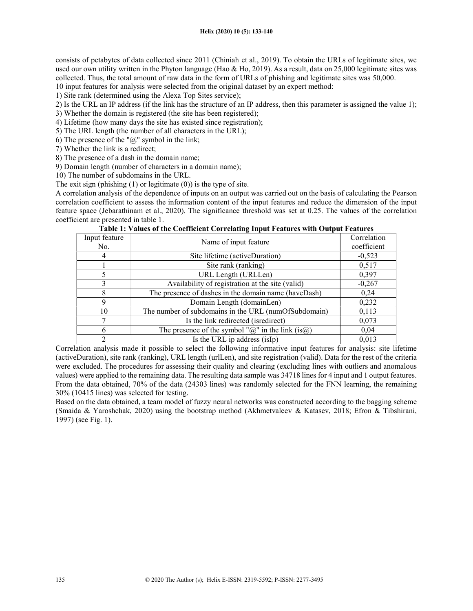consists of petabytes of data collected since 2011 (Chiniah et al., 2019). To obtain the URLs of legitimate sites, we used our own utility written in the Phyton language (Hao & Ho, 2019). As a result, data on 25,000 legitimate sites was collected. Thus, the total amount of raw data in the form of URLs of phishing and legitimate sites was 50,000.

10 input features for analysis were selected from the original dataset by an expert method:

1) Site rank (determined using the Alexa Top Sites service);

- 2) Is the URL an IP address (if the link has the structure of an IP address, then this parameter is assigned the value 1);
- 3) Whether the domain is registered (the site has been registered);
- 4) Lifetime (how many days the site has existed since registration);
- 5) The URL length (the number of all characters in the URL);
- 6) The presence of the " $@$ " symbol in the link;
- 7) Whether the link is a redirect;
- 8) The presence of a dash in the domain name;
- 9) Domain length (number of characters in a domain name);

10) The number of subdomains in the URL.

The exit sign (phishing  $(1)$  or legitimate  $(0)$ ) is the type of site.

A correlation analysis of the dependence of inputs on an output was carried out on the basis of calculating the Pearson correlation coefficient to assess the information content of the input features and reduce the dimension of the input feature space (Jebarathinam et al., 2020). The significance threshold was set at 0.25. The values of the correlation coefficient are presented in table 1.

| Input feature<br>No. | Name of input feature                                    | Correlation<br>coefficient |
|----------------------|----------------------------------------------------------|----------------------------|
| 4                    | Site lifetime (activeDuration)                           | $-0,523$                   |
|                      | Site rank (ranking)                                      | 0,517                      |
|                      | URL Length (URLLen)                                      | 0,397                      |
|                      | Availability of registration at the site (valid)         | $-0,267$                   |
| 8                    | The presence of dashes in the domain name (haveDash)     | 0,24                       |
| 9                    | Domain Length (domainLen)                                | 0,232                      |
| 10                   | The number of subdomains in the URL (numOfSubdomain)     | 0,113                      |
| 7                    | Is the link redirected (isredirect)                      | 0,073                      |
|                      | The presence of the symbol " $@$ " in the link (is $@$ ) | 0.04                       |

Table 1: Values of the Coefficient Correlating Input Features with Output Features

Correlation analysis made it possible to select the following informative input features for analysis: site lifetime (activeDuration), site rank (ranking), URL length (urlLen), and site registration (valid). Data for the rest of the criteria were excluded. The procedures for assessing their quality and clearing (excluding lines with outliers and anomalous values) were applied to the remaining data. The resulting data sample was 34718 lines for 4 input and 1 output features. From the data obtained, 70% of the data (24303 lines) was randomly selected for the FNN learning, the remaining 30% (10415 lines) was selected for testing.

Is the URL ip address (isIp) 0,013

Based on the data obtained, a team model of fuzzy neural networks was constructed according to the bagging scheme (Smaida & Yaroshchak, 2020) using the bootstrap method (Akhmetvaleev & Katasev, 2018; Efron & Tibshirani, 1997) (see Fig. 1).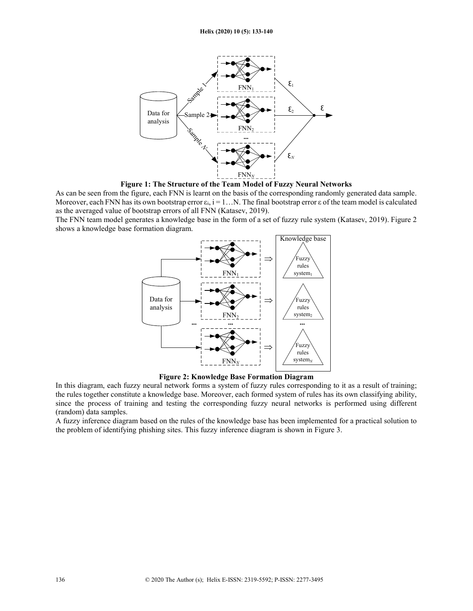

Figure 1: The Structure of the Team Model of Fuzzy Neural Networks

As can be seen from the figure, each FNN is learnt on the basis of the corresponding randomly generated data sample. Moreover, each FNN has its own bootstrap error  $\varepsilon_i$ , i = 1... N. The final bootstrap error  $\varepsilon$  of the team model is calculated as the averaged value of bootstrap errors of all FNN (Katasev, 2019).

The FNN team model generates a knowledge base in the form of a set of fuzzy rule system (Katasev, 2019). Figure 2 shows a knowledge base formation diagram.



Figure 2: Knowledge Base Formation Diagram

In this diagram, each fuzzy neural network forms a system of fuzzy rules corresponding to it as a result of training; the rules together constitute a knowledge base. Moreover, each formed system of rules has its own classifying ability, since the process of training and testing the corresponding fuzzy neural networks is performed using different (random) data samples.

A fuzzy inference diagram based on the rules of the knowledge base has been implemented for a practical solution to the problem of identifying phishing sites. This fuzzy inference diagram is shown in Figure 3.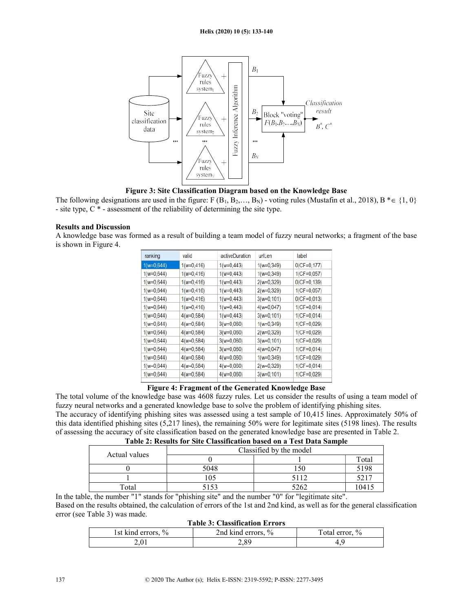

Figure 3: Site Classification Diagram based on the Knowledge Base

The following designations are used in the figure: F  $(B_1, B_2,..., B_N)$  - voting rules (Mustafin et al., 2018), B  $* \in \{1, 0\}$ - site type,  $C^*$  - assessment of the reliability of determining the site type.

#### Results and Discussion

A knowledge base was formed as a result of building a team model of fuzzy neural networks; a fragment of the base is shown in Figure 4.

| ranking       | valid         | activeDuration | urlLen        | label          |
|---------------|---------------|----------------|---------------|----------------|
| $1(w=0,644)$  | $1(w=0, 416)$ | $1(w=0,443)$   | $1(w=0,349)$  | $0(CF=0,177)$  |
| $1(w=0,644)$  | $1(w=0, 416)$ | $1(w=0, 443)$  | $1(w=0,349)$  | $1(CF=0.057)$  |
| $1(w=0, 644)$ | $1(w=0, 416)$ | $1(w=0, 443)$  | $2(w=0,329)$  | $O(CF=0,139)$  |
| $1(w=0,644)$  | $1(w=0, 416)$ | $1(w=0, 443)$  | $2(w=0,329)$  | $1(CF=0.057)$  |
| $1(w=0,644)$  | $1(w=0, 416)$ | $1(w=0, 443)$  | $3(w=0, 101)$ | $0$ (CF=0,013) |
| $1(w=0,644)$  | $1(w=0, 416)$ | $1(w=0, 443)$  | $4(w=0,047)$  | $1(CF=0,014)$  |
| $1(w=0,644)$  | $4(w=0,584)$  | $1(w=0, 443)$  | $3(w=0, 101)$ | $1(CF=0.014)$  |
| $1(w=0,644)$  | $4(w=0,584)$  | $3(w=0,060)$   | $1(w=0,349)$  | $1(CF=0.029)$  |
| $1(w=0,644)$  | $4(w=0,584)$  | $3(w=0,060)$   | $2(w=0,329)$  | $1(CF=0.029)$  |
| $1(w=0,644)$  | $4(w=0,584)$  | $3(w=0,060)$   | $3(w=0, 101)$ | $1(CF=0.029)$  |
| $1(w=0,644)$  | $4(w=0,584)$  | $3(w=0,060)$   | $4(w=0.047)$  | $1(CF=0.014)$  |
| $1(w=0,644)$  | $4(w=0,584)$  | $4(w=0,060)$   | $1(w=0,349)$  | $1(CF=0,029)$  |
| $1(w=0, 644)$ | $4(w=0,584)$  | $4(w=0,060)$   | $2(w=0,329)$  | $1(CF=0,014)$  |
| $1(w=0,644)$  | $4(w=0,584)$  | $4(w=0,060)$   | $3(w=0, 101)$ | $1(CF=0.029)$  |
|               |               |                |               |                |

# Figure 4: Fragment of the Generated Knowledge Base

The total volume of the knowledge base was 4608 fuzzy rules. Let us consider the results of using a team model of fuzzy neural networks and a generated knowledge base to solve the problem of identifying phishing sites. The accuracy of identifying phishing sites was assessed using a test sample of 10,415 lines. Approximately 50% of this data identified phishing sites (5,217 lines), the remaining 50% were for legitimate sites (5198 lines). The results of assessing the accuracy of site classification based on the generated knowledge base are presented in Table 2.

| Actual values | Classified by the model |      |       |  |
|---------------|-------------------------|------|-------|--|
|               |                         |      | Total |  |
|               | 5048                    |      | 5198  |  |
|               | 105                     | 5112 | 5217  |  |
| Total         |                         | 5262 | 041   |  |

In the table, the number "1" stands for "phishing site" and the number "0" for "legitimate site". Based on the results obtained, the calculation of errors of the 1st and 2nd kind, as well as for the general classification error (see Table 3) was made.

|                    | <b>Table 3: Classification Errors</b> |                |
|--------------------|---------------------------------------|----------------|
| 1st kind errors, % | 2nd kind errors, %                    | Total error, % |
| 2.01               | 2.89                                  |                |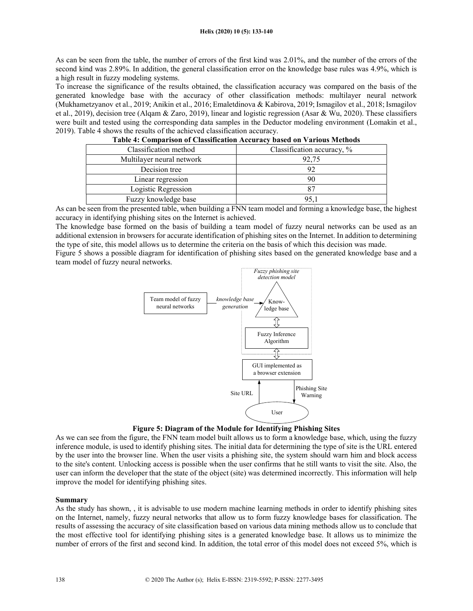As can be seen from the table, the number of errors of the first kind was 2.01%, and the number of the errors of the second kind was 2.89%. In addition, the general classification error on the knowledge base rules was 4.9%, which is a high result in fuzzy modeling systems.

To increase the significance of the results obtained, the classification accuracy was compared on the basis of the generated knowledge base with the accuracy of other classification methods: multilayer neural network (Mukhametzyanov et al., 2019; Anikin et al., 2016; Emaletdinova & Kabirova, 2019; Ismagilov et al., 2018; Ismagilov et al., 2019), decision tree (Alqam & Zaro, 2019), linear and logistic regression (Asar & Wu, 2020). These classifiers were built and tested using the corresponding data samples in the Deductor modeling environment (Lomakin et al., 2019). Table 4 shows the results of the achieved classification accuracy.

| Classification accuracy, % |
|----------------------------|
| 92,75                      |
| 92                         |
| 90                         |
|                            |
| 95.1                       |
|                            |

|  |  | Table 4: Comparison of Classification Accuracy based on Various Methods |
|--|--|-------------------------------------------------------------------------|
|  |  |                                                                         |

As can be seen from the presented table, when building a FNN team model and forming a knowledge base, the highest accuracy in identifying phishing sites on the Internet is achieved.

The knowledge base formed on the basis of building a team model of fuzzy neural networks can be used as an additional extension in browsers for accurate identification of phishing sites on the Internet. In addition to determining the type of site, this model allows us to determine the criteria on the basis of which this decision was made.

Figure 5 shows a possible diagram for identification of phishing sites based on the generated knowledge base and a team model of fuzzy neural networks.



Figure 5: Diagram of the Module for Identifying Phishing Sites

As we can see from the figure, the FNN team model built allows us to form a knowledge base, which, using the fuzzy inference module, is used to identify phishing sites. The initial data for determining the type of site is the URL entered by the user into the browser line. When the user visits a phishing site, the system should warn him and block access to the site's content. Unlocking access is possible when the user confirms that he still wants to visit the site. Also, the user can inform the developer that the state of the object (site) was determined incorrectly. This information will help improve the model for identifying phishing sites.

#### Summary

As the study has shown, , it is advisable to use modern machine learning methods in order to identify phishing sites on the Internet, namely, fuzzy neural networks that allow us to form fuzzy knowledge bases for classification. The results of assessing the accuracy of site classification based on various data mining methods allow us to conclude that the most effective tool for identifying phishing sites is a generated knowledge base. It allows us to minimize the number of errors of the first and second kind. In addition, the total error of this model does not exceed 5%, which is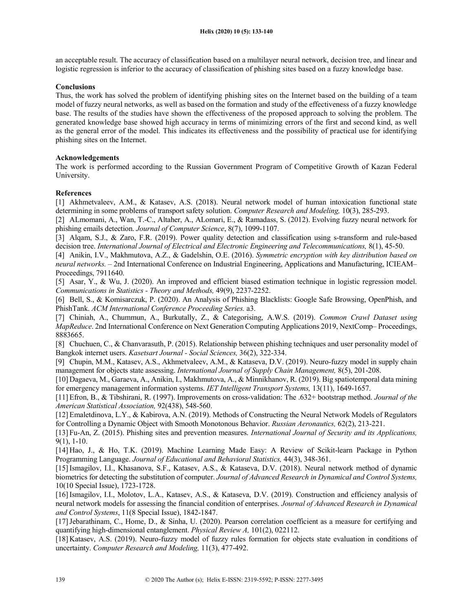an acceptable result. The accuracy of classification based on a multilayer neural network, decision tree, and linear and logistic regression is inferior to the accuracy of classification of phishing sites based on a fuzzy knowledge base.

#### **Conclusions**

Thus, the work has solved the problem of identifying phishing sites on the Internet based on the building of a team model of fuzzy neural networks, as well as based on the formation and study of the effectiveness of a fuzzy knowledge base. The results of the studies have shown the effectiveness of the proposed approach to solving the problem. The generated knowledge base showed high accuracy in terms of minimizing errors of the first and second kind, as well as the general error of the model. This indicates its effectiveness and the possibility of practical use for identifying phishing sites on the Internet.

# Acknowledgements

The work is performed according to the Russian Government Program of Competitive Growth of Kazan Federal University.

#### References

[1] Akhmetvaleev, A.M., & Katasev, A.S. (2018). Neural network model of human intoxication functional state determining in some problems of transport safety solution. Computer Research and Modeling, 10(3), 285-293.

[2] ALmomani, A., Wan, T.-C., Altaher, A., ALomari, E., & Ramadass, S. (2012). Evolving fuzzy neural network for phishing emails detection. Journal of Computer Science, 8(7), 1099-1107.

[3] Alqam, S.J., & Zaro, F.R. (2019). Power quality detection and classification using s-transform and rule-based decision tree. International Journal of Electrical and Electronic Engineering and Telecommunications, 8(1), 45-50.

[4] Anikin, I.V., Makhmutova, A.Z., & Gadelshin, O.E. (2016). Symmetric encryption with key distribution based on neural networks. – 2nd International Conference on Industrial Engineering, Applications and Manufacturing, ICIEAM– Proceedings, 7911640.

[5] Asar, Y., & Wu, J. (2020). An improved and efficient biased estimation technique in logistic regression model. Communications in Statistics - Theory and Methods, 49(9), 2237-2252.

[6] Bell, S., & Komisarczuk, P. (2020). An Analysis of Phishing Blacklists: Google Safe Browsing, OpenPhish, and PhishTank. ACM International Conference Proceeding Series. a3.

[7] Chiniah, A., Chummun, A., Burkutally, Z., & Categorising, A.W.S. (2019). Common Crawl Dataset using MapReduce. 2nd International Conference on Next Generation Computing Applications 2019, NextComp– Proceedings, 8883665.

[8] Chuchuen, C., & Chanvarasuth, P. (2015). Relationship between phishing techniques and user personality model of Bangkok internet users. Kasetsart Journal - Social Sciences, 36(2), 322-334.

[9] Chupin, M.M., Katasev, A.S., Akhmetvaleev, A.M., & Kataseva, D.V. (2019). Neuro-fuzzy model in supply chain management for objects state assessing. *International Journal of Supply Chain Management*, 8(5), 201-208.

[10] Dagaeva, M., Garaeva, A., Anikin, I., Makhmutova, A., & Minnikhanov, R. (2019). Big spatiotemporal data mining for emergency management information systems. IET Intelligent Transport Systems, 13(11), 1649-1657.

[11] Efron, B., & Tibshirani, R. (1997). Improvements on cross-validation: The .632+ bootstrap method. Journal of the American Statistical Association, 92(438), 548-560.

[12] Emaletdinova, L.Y., & Kabirova, A.N. (2019). Methods of Constructing the Neural Network Models of Regulators for Controlling a Dynamic Object with Smooth Monotonous Behavior. Russian Aeronautics, 62(2), 213-221.

[13] Fu-An, Z. (2015). Phishing sites and prevention measures. International Journal of Security and its Applications, 9(1), 1-10.

[14] Hao, J., & Ho, T.K. (2019). Machine Learning Made Easy: A Review of Scikit-learn Package in Python Programming Language. Journal of Educational and Behavioral Statistics, 44(3), 348-361.

[15]Ismagilov, I.I., Khasanova, S.F., Katasev, A.S., & Kataseva, D.V. (2018). Neural network method of dynamic biometrics for detecting the substitution of computer. Journal of Advanced Research in Dynamical and Control Systems, 10(10 Special Issue), 1723-1728.

[16]Ismagilov, I.I., Molotov, L.A., Katasev, A.S., & Kataseva, D.V. (2019). Construction and efficiency analysis of neural network models for assessing the financial condition of enterprises. Journal of Advanced Research in Dynamical and Control Systems, 11(8 Special Issue), 1842-1847.

[17]Jebarathinam, C., Home, D., & Sinha, U. (2020). Pearson correlation coefficient as a measure for certifying and quantifying high-dimensional entanglement. Physical Review A, 101(2), 022112.

[18] Katasev, A.S. (2019). Neuro-fuzzy model of fuzzy rules formation for objects state evaluation in conditions of uncertainty. Computer Research and Modeling, 11(3), 477-492.